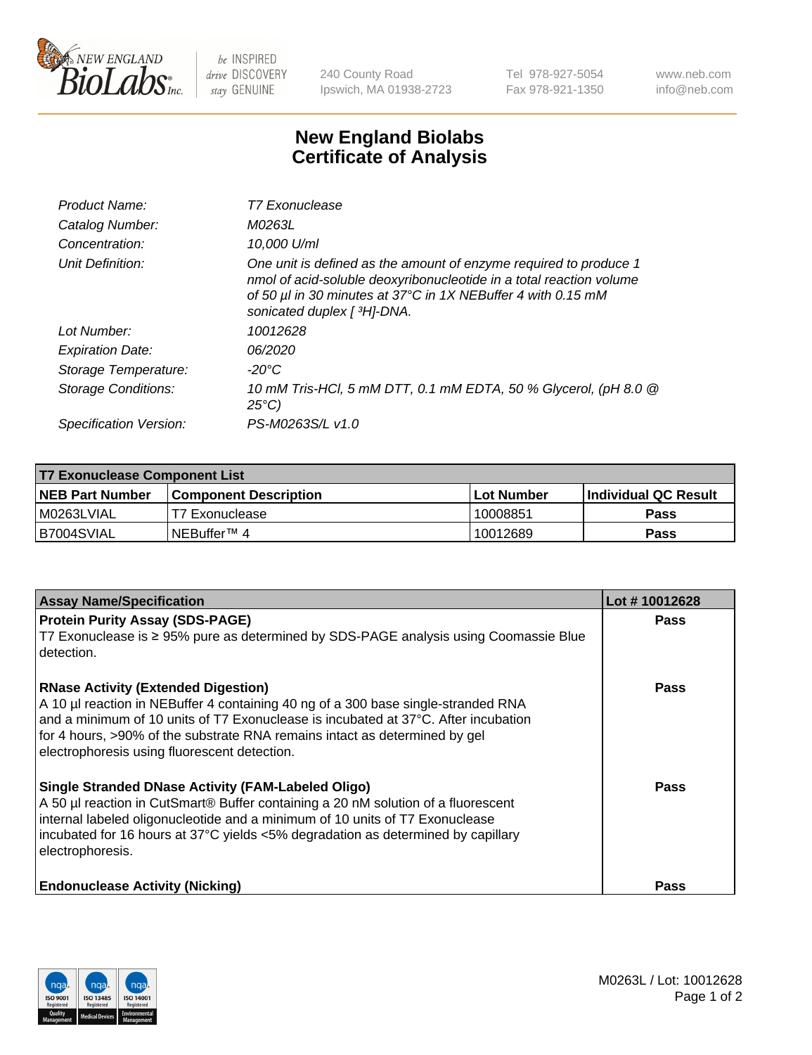

 $be$  INSPIRED drive DISCOVERY stay GENUINE

240 County Road Ipswich, MA 01938-2723 Tel 978-927-5054 Fax 978-921-1350 www.neb.com info@neb.com

## **New England Biolabs Certificate of Analysis**

| Product Name:           | T7 Exonuclease                                                                                                                                                                                                                          |
|-------------------------|-----------------------------------------------------------------------------------------------------------------------------------------------------------------------------------------------------------------------------------------|
| Catalog Number:         | M0263L                                                                                                                                                                                                                                  |
| Concentration:          | 10,000 U/ml                                                                                                                                                                                                                             |
| Unit Definition:        | One unit is defined as the amount of enzyme required to produce 1<br>nmol of acid-soluble deoxyribonucleotide in a total reaction volume<br>of 50 µl in 30 minutes at 37°C in 1X NEBuffer 4 with 0.15 mM<br>sonicated duplex [ 3H]-DNA. |
| Lot Number:             | 10012628                                                                                                                                                                                                                                |
| <b>Expiration Date:</b> | 06/2020                                                                                                                                                                                                                                 |
| Storage Temperature:    | $-20^{\circ}$ C                                                                                                                                                                                                                         |
| Storage Conditions:     | 10 mM Tris-HCl, 5 mM DTT, 0.1 mM EDTA, 50 % Glycerol, (pH 8.0 @<br>$25^{\circ}C$                                                                                                                                                        |
| Specification Version:  | PS-M0263S/L v1.0                                                                                                                                                                                                                        |

| <b>T7 Exonuclease Component List</b> |                              |              |                             |  |
|--------------------------------------|------------------------------|--------------|-----------------------------|--|
| <b>NEB Part Number</b>               | <b>Component Description</b> | l Lot Number | <b>Individual QC Result</b> |  |
| M0263LVIAL                           | T7 Exonuclease               | 10008851     | <b>Pass</b>                 |  |
| B7004SVIAL                           | INEBuffer™ 4                 | 10012689     | <b>Pass</b>                 |  |

| <b>Assay Name/Specification</b>                                                                                                                                                                                                                                                                                                                     | Lot #10012628 |
|-----------------------------------------------------------------------------------------------------------------------------------------------------------------------------------------------------------------------------------------------------------------------------------------------------------------------------------------------------|---------------|
| <b>Protein Purity Assay (SDS-PAGE)</b><br>T7 Exonuclease is ≥ 95% pure as determined by SDS-PAGE analysis using Coomassie Blue<br>detection.                                                                                                                                                                                                        | <b>Pass</b>   |
| <b>RNase Activity (Extended Digestion)</b><br>A 10 µl reaction in NEBuffer 4 containing 40 ng of a 300 base single-stranded RNA<br>and a minimum of 10 units of T7 Exonuclease is incubated at 37°C. After incubation<br>for 4 hours, >90% of the substrate RNA remains intact as determined by gel<br>electrophoresis using fluorescent detection. | <b>Pass</b>   |
| <b>Single Stranded DNase Activity (FAM-Labeled Oligo)</b><br>A 50 µl reaction in CutSmart® Buffer containing a 20 nM solution of a fluorescent<br>internal labeled oligonucleotide and a minimum of 10 units of T7 Exonuclease<br>incubated for 16 hours at 37°C yields <5% degradation as determined by capillary<br>electrophoresis.              | Pass          |
| <b>Endonuclease Activity (Nicking)</b>                                                                                                                                                                                                                                                                                                              | <b>Pass</b>   |